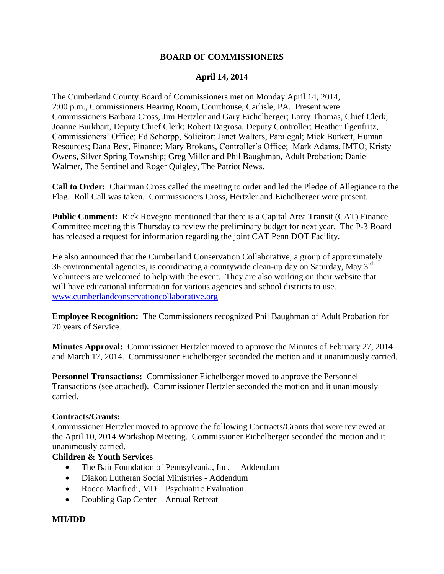#### **BOARD OF COMMISSIONERS**

### **April 14, 2014**

The Cumberland County Board of Commissioners met on Monday April 14, 2014, 2:00 p.m., Commissioners Hearing Room, Courthouse, Carlisle, PA. Present were Commissioners Barbara Cross, Jim Hertzler and Gary Eichelberger; Larry Thomas, Chief Clerk; Joanne Burkhart, Deputy Chief Clerk; Robert Dagrosa, Deputy Controller; Heather Ilgenfritz, Commissioners' Office; Ed Schorpp, Solicitor; Janet Walters, Paralegal; Mick Burkett, Human Resources; Dana Best, Finance; Mary Brokans, Controller's Office; Mark Adams, IMTO; Kristy Owens, Silver Spring Township; Greg Miller and Phil Baughman, Adult Probation; Daniel Walmer, The Sentinel and Roger Quigley, The Patriot News.

**Call to Order:** Chairman Cross called the meeting to order and led the Pledge of Allegiance to the Flag. Roll Call was taken. Commissioners Cross, Hertzler and Eichelberger were present.

**Public Comment:** Rick Rovegno mentioned that there is a Capital Area Transit (CAT) Finance Committee meeting this Thursday to review the preliminary budget for next year. The P-3 Board has released a request for information regarding the joint CAT Penn DOT Facility.

He also announced that the Cumberland Conservation Collaborative, a group of approximately 36 environmental agencies, is coordinating a countywide clean-up day on Saturday, May  $3^{rd}$ . Volunteers are welcomed to help with the event. They are also working on their website that will have educational information for various agencies and school districts to use. [www.cumberlandconservationcollaborative.org](http://www.cumberlandconservationcollaborative.org/) 

**Employee Recognition:** The Commissioners recognized Phil Baughman of Adult Probation for 20 years of Service.

**Minutes Approval:** Commissioner Hertzler moved to approve the Minutes of February 27, 2014 and March 17, 2014. Commissioner Eichelberger seconded the motion and it unanimously carried.

**Personnel Transactions:** Commissioner Eichelberger moved to approve the Personnel Transactions (see attached). Commissioner Hertzler seconded the motion and it unanimously carried.

#### **Contracts/Grants:**

Commissioner Hertzler moved to approve the following Contracts/Grants that were reviewed at the April 10, 2014 Workshop Meeting. Commissioner Eichelberger seconded the motion and it unanimously carried.

#### **Children & Youth Services**

- The Bair Foundation of Pennsylvania, Inc. Addendum
- Diakon Lutheran Social Ministries Addendum
- Rocco Manfredi, MD Psychiatric Evaluation
- Doubling Gap Center Annual Retreat

#### **MH/IDD**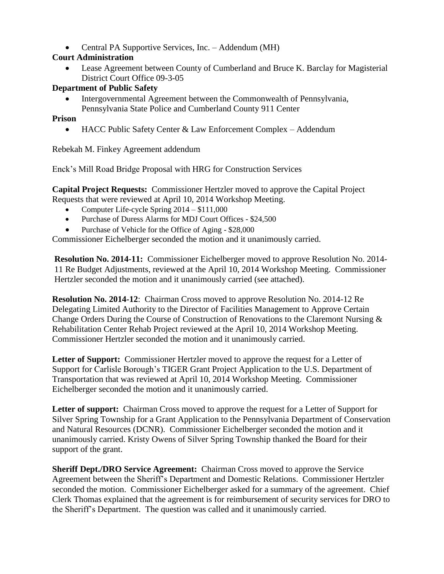Central PA Supportive Services, Inc. – Addendum (MH)

# **Court Administration**

 Lease Agreement between County of Cumberland and Bruce K. Barclay for Magisterial District Court Office 09-3-05

## **Department of Public Safety**

 Intergovernmental Agreement between the Commonwealth of Pennsylvania, Pennsylvania State Police and Cumberland County 911 Center

### **Prison**

• HACC Public Safety Center & Law Enforcement Complex – Addendum

Rebekah M. Finkey Agreement addendum

Enck's Mill Road Bridge Proposal with HRG for Construction Services

**Capital Project Requests:** Commissioner Hertzler moved to approve the Capital Project Requests that were reviewed at April 10, 2014 Workshop Meeting.

- Computer Life-cycle Spring 2014 \$111,000
- Purchase of Duress Alarms for MDJ Court Offices \$24,500
- Purchase of Vehicle for the Office of Aging \$28,000

Commissioner Eichelberger seconded the motion and it unanimously carried.

**Resolution No. 2014-11:** Commissioner Eichelberger moved to approve Resolution No. 2014- 11 Re Budget Adjustments, reviewed at the April 10, 2014 Workshop Meeting. Commissioner Hertzler seconded the motion and it unanimously carried (see attached).

**Resolution No. 2014-12**: Chairman Cross moved to approve Resolution No. 2014-12 Re Delegating Limited Authority to the Director of Facilities Management to Approve Certain Change Orders During the Course of Construction of Renovations to the Claremont Nursing & Rehabilitation Center Rehab Project reviewed at the April 10, 2014 Workshop Meeting. Commissioner Hertzler seconded the motion and it unanimously carried.

**Letter of Support:** Commissioner Hertzler moved to approve the request for a Letter of Support for Carlisle Borough's TIGER Grant Project Application to the U.S. Department of Transportation that was reviewed at April 10, 2014 Workshop Meeting. Commissioner Eichelberger seconded the motion and it unanimously carried.

**Letter of support:** Chairman Cross moved to approve the request for a Letter of Support for Silver Spring Township for a Grant Application to the Pennsylvania Department of Conservation and Natural Resources (DCNR). Commissioner Eichelberger seconded the motion and it unanimously carried. Kristy Owens of Silver Spring Township thanked the Board for their support of the grant.

**Sheriff Dept./DRO Service Agreement:** Chairman Cross moved to approve the Service Agreement between the Sheriff's Department and Domestic Relations. Commissioner Hertzler seconded the motion. Commissioner Eichelberger asked for a summary of the agreement. Chief Clerk Thomas explained that the agreement is for reimbursement of security services for DRO to the Sheriff's Department. The question was called and it unanimously carried.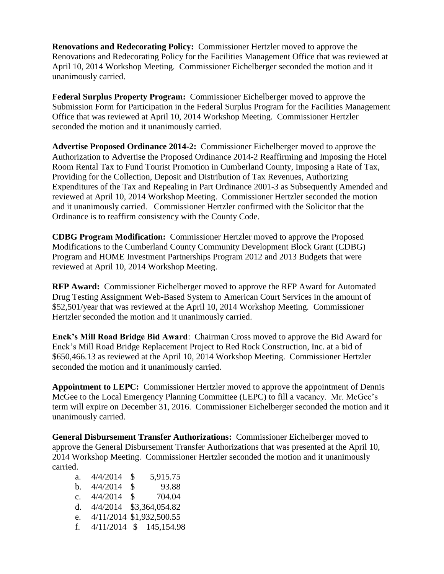**Renovations and Redecorating Policy:** Commissioner Hertzler moved to approve the Renovations and Redecorating Policy for the Facilities Management Office that was reviewed at April 10, 2014 Workshop Meeting. Commissioner Eichelberger seconded the motion and it unanimously carried.

**Federal Surplus Property Program:** Commissioner Eichelberger moved to approve the Submission Form for Participation in the Federal Surplus Program for the Facilities Management Office that was reviewed at April 10, 2014 Workshop Meeting. Commissioner Hertzler seconded the motion and it unanimously carried.

**Advertise Proposed Ordinance 2014-2:** Commissioner Eichelberger moved to approve the Authorization to Advertise the Proposed Ordinance 2014-2 Reaffirming and Imposing the Hotel Room Rental Tax to Fund Tourist Promotion in Cumberland County, Imposing a Rate of Tax, Providing for the Collection, Deposit and Distribution of Tax Revenues, Authorizing Expenditures of the Tax and Repealing in Part Ordinance 2001-3 as Subsequently Amended and reviewed at April 10, 2014 Workshop Meeting. Commissioner Hertzler seconded the motion and it unanimously carried. Commissioner Hertzler confirmed with the Solicitor that the Ordinance is to reaffirm consistency with the County Code.

**CDBG Program Modification:** Commissioner Hertzler moved to approve the Proposed Modifications to the Cumberland County Community Development Block Grant (CDBG) Program and HOME Investment Partnerships Program 2012 and 2013 Budgets that were reviewed at April 10, 2014 Workshop Meeting.

**RFP Award:** Commissioner Eichelberger moved to approve the RFP Award for Automated Drug Testing Assignment Web-Based System to American Court Services in the amount of \$52,501/year that was reviewed at the April 10, 2014 Workshop Meeting. Commissioner Hertzler seconded the motion and it unanimously carried.

**Enck's Mill Road Bridge Bid Award**: Chairman Cross moved to approve the Bid Award for Enck's Mill Road Bridge Replacement Project to Red Rock Construction, Inc. at a bid of \$650,466.13 as reviewed at the April 10, 2014 Workshop Meeting. Commissioner Hertzler seconded the motion and it unanimously carried.

**Appointment to LEPC:** Commissioner Hertzler moved to approve the appointment of Dennis McGee to the Local Emergency Planning Committee (LEPC) to fill a vacancy. Mr. McGee's term will expire on December 31, 2016. Commissioner Eichelberger seconded the motion and it unanimously carried.

**General Disbursement Transfer Authorizations:** Commissioner Eichelberger moved to approve the General Disbursement Transfer Authorizations that was presented at the April 10, 2014 Workshop Meeting. Commissioner Hertzler seconded the motion and it unanimously carried.

| a.             | 4/4/2014 | \$           | 5,915.75                 |
|----------------|----------|--------------|--------------------------|
| b.             | 4/4/2014 | \$           | 93.88                    |
| $\mathbf{c}$ . | 4/4/2014 | $\mathbb{S}$ | 704.04                   |
| d.             |          |              | 4/4/2014 \$3,364,054.82  |
| e.             |          |              | 4/11/2014 \$1,932,500.55 |
| f.             |          |              | 4/11/2014 \$ 145,154.98  |